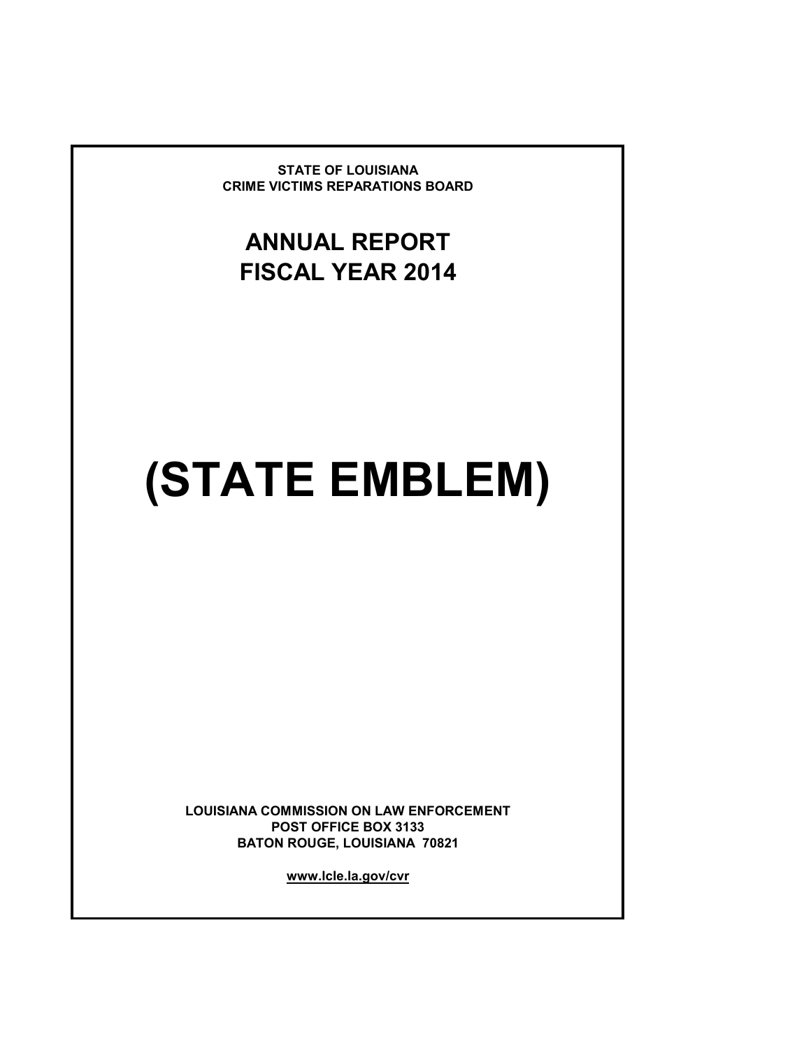**STATE OF LOUISIANA CRIME VICTIMS REPARATIONS BOARD**

# **ANNUAL REPORT FISCAL YEAR 2014**

# **(STATE EMBLEM)**

**LOUISIANA COMMISSION ON LAW ENFORCEMENT POST OFFICE BOX 3133 BATON ROUGE, LOUISIANA 70821**

**www.lcle.la.gov/cvr**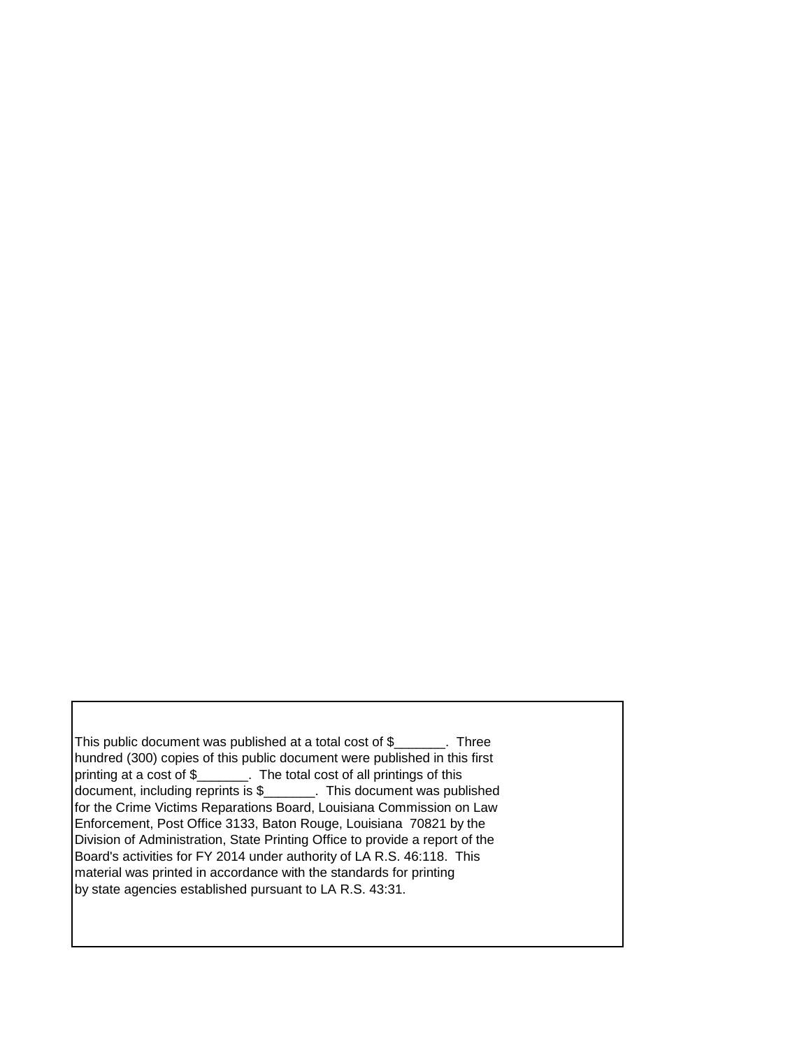This public document was published at a total cost of \$\_\_\_\_\_\_\_. Three hundred (300) copies of this public document were published in this first printing at a cost of \$\_\_\_\_\_\_\_. The total cost of all printings of this document, including reprints is \$\_\_\_\_\_\_\_. This document was published for the Crime Victims Reparations Board, Louisiana Commission on Law Enforcement, Post Office 3133, Baton Rouge, Louisiana 70821 by the Division of Administration, State Printing Office to provide a report of the Board's activities for FY 2014 under authority of LA R.S. 46:118. This material was printed in accordance with the standards for printing by state agencies established pursuant to LA R.S. 43:31.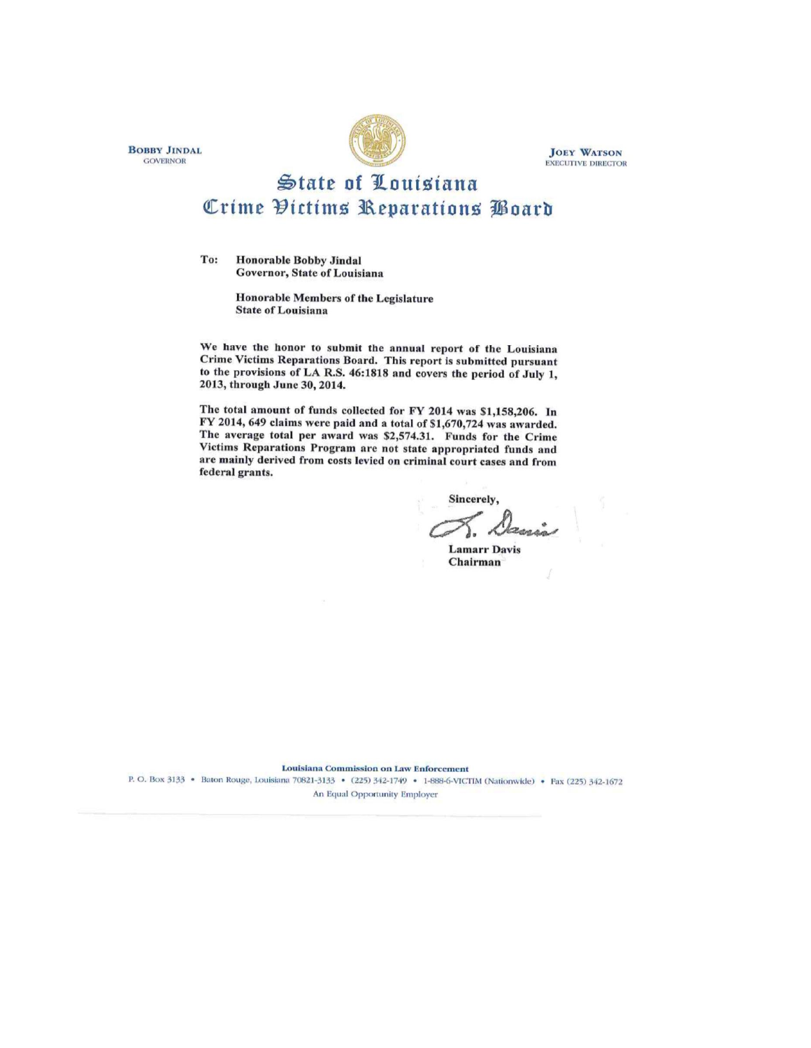**BOBBY JINDAL GOVERNOR** 



**JOEY WATSON EXECUTIVE DIRECTOR** 

# State of Louisiana Crime Victims Reparations Poard

To: **Honorable Bobby Jindal** Governor, State of Louisiana

> **Honorable Members of the Legislature State of Louisiana**

We have the honor to submit the annual report of the Louisiana Crime Victims Reparations Board. This report is submitted pursuant to the provisions of LA R.S. 46:1818 and covers the period of July 1, 2013, through June 30, 2014.

The total amount of funds collected for FY 2014 was \$1,158,206. In FY 2014, 649 claims were paid and a total of \$1,670,724 was awarded. The average total per award was \$2,574.31. Funds for the Crime Victims Reparations Program are not state appropriated funds and are mainly derived from costs levied on criminal court cases and from federal grants.

**Sincerely** 

**Lamarr Davis** Chairman

**Louisiana Commission on Law Enforcement** 

P. O. Box 3133 • Baton Rouge, Louisiana 70821-3133 • (225) 342-1749 • 1-888-6-VICTIM (Nationwide) • Fax (225) 342-1672 An Equal Opportunity Employer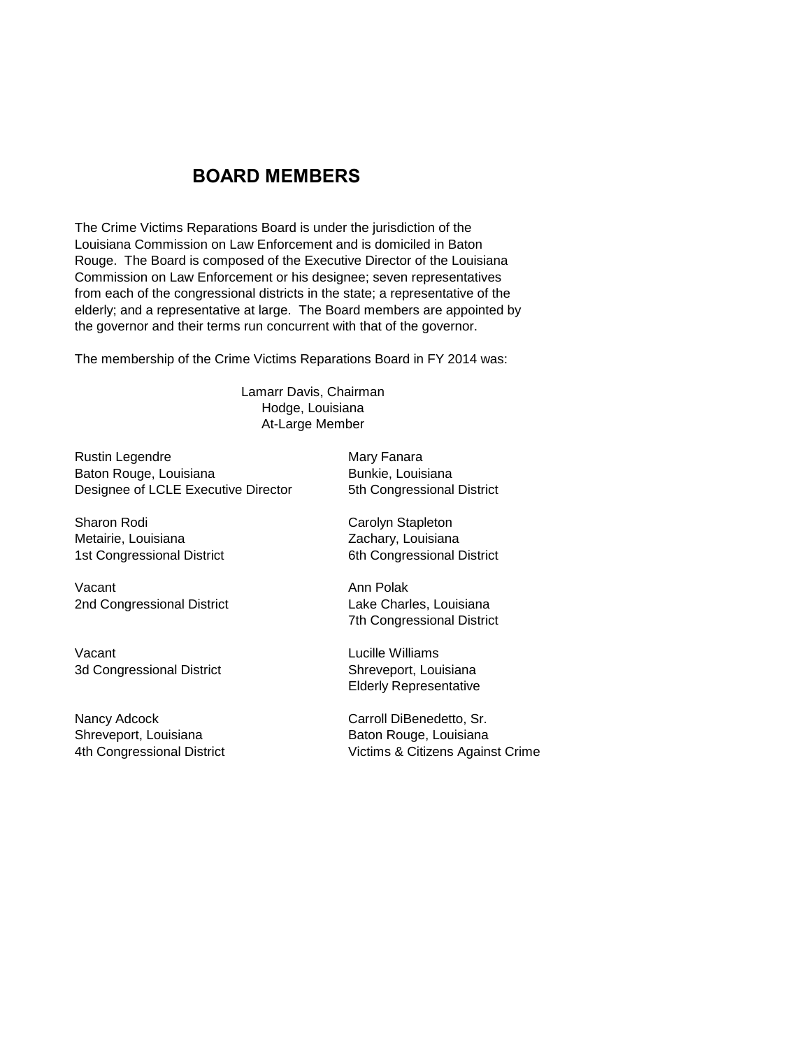# **BOARD MEMBERS**

The Crime Victims Reparations Board is under the jurisdiction of the Louisiana Commission on Law Enforcement and is domiciled in Baton Rouge. The Board is composed of the Executive Director of the Louisiana Commission on Law Enforcement or his designee; seven representatives from each of the congressional districts in the state; a representative of the elderly; and a representative at large. The Board members are appointed by the governor and their terms run concurrent with that of the governor.

The membership of the Crime Victims Reparations Board in FY 2014 was:

Hodge, Louisiana Lamarr Davis, Chairman At-Large Member

Rustin Legendre **Mary Fanara** Baton Rouge, Louisiana **Bunkie**, Louisiana Designee of LCLE Executive Director 5th Congressional District

Sharon Rodi **Carolyn Stapleton** Metairie, Louisiana **Metairie**, Louisiana

Vacant **Ann Polak** 2nd Congressional District Lake Charles, Louisiana

Vacant Lucille Williams 3d Congressional District Shreveport, Louisiana

Nancy Adcock Carroll DiBenedetto, Sr. Shreveport, Louisiana **Baton Rouge, Louisiana** 

1st Congressional District 6th Congressional District

7th Congressional District

Elderly Representative

4th Congressional District Victims & Citizens Against Crime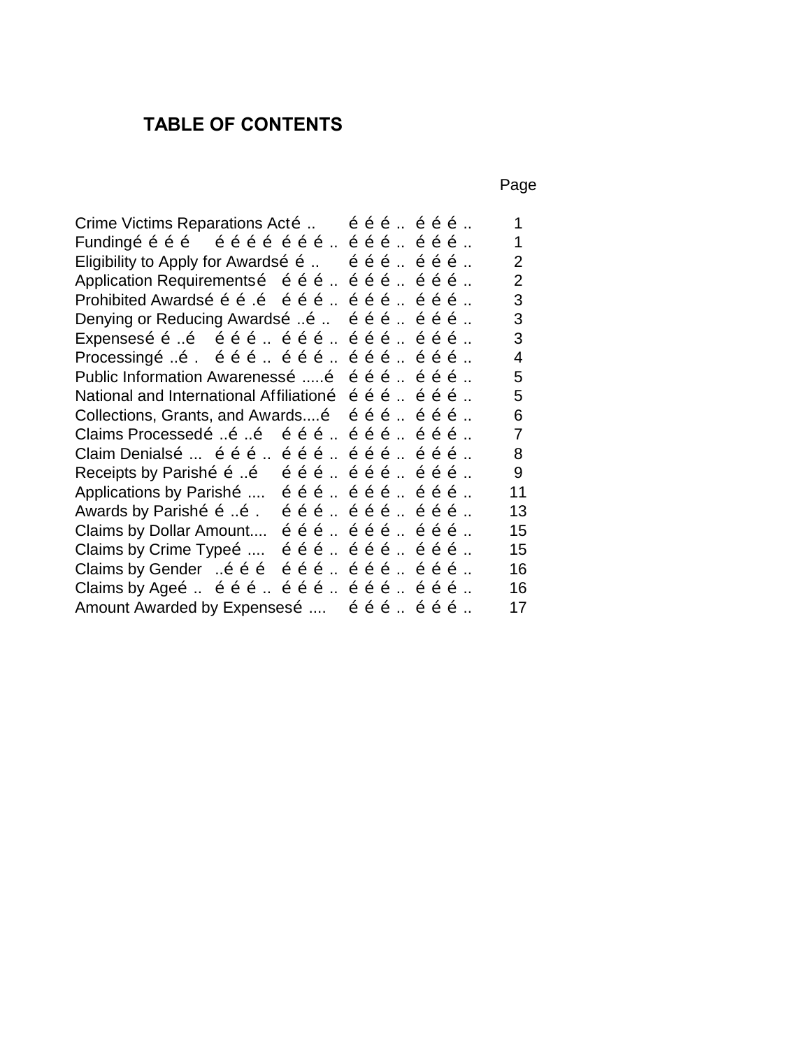# **TABLE OF CONTENTS**

Page

|                                              | $\mathbf 1$                                                                                                                                                                                                                                                                                                                                                                                                                                                                                                                                                                                                                                                                                                                                                                                                                                                                                                                                                                                                                                                                                                                                                                                                                           |
|----------------------------------------------|---------------------------------------------------------------------------------------------------------------------------------------------------------------------------------------------------------------------------------------------------------------------------------------------------------------------------------------------------------------------------------------------------------------------------------------------------------------------------------------------------------------------------------------------------------------------------------------------------------------------------------------------------------------------------------------------------------------------------------------------------------------------------------------------------------------------------------------------------------------------------------------------------------------------------------------------------------------------------------------------------------------------------------------------------------------------------------------------------------------------------------------------------------------------------------------------------------------------------------------|
|                                              | $\mathbf 1$                                                                                                                                                                                                                                                                                                                                                                                                                                                                                                                                                                                                                                                                                                                                                                                                                                                                                                                                                                                                                                                                                                                                                                                                                           |
|                                              | $\overline{2}$                                                                                                                                                                                                                                                                                                                                                                                                                                                                                                                                                                                                                                                                                                                                                                                                                                                                                                                                                                                                                                                                                                                                                                                                                        |
|                                              | $\overline{2}$                                                                                                                                                                                                                                                                                                                                                                                                                                                                                                                                                                                                                                                                                                                                                                                                                                                                                                                                                                                                                                                                                                                                                                                                                        |
|                                              | 3                                                                                                                                                                                                                                                                                                                                                                                                                                                                                                                                                                                                                                                                                                                                                                                                                                                                                                                                                                                                                                                                                                                                                                                                                                     |
|                                              | 3                                                                                                                                                                                                                                                                                                                                                                                                                                                                                                                                                                                                                                                                                                                                                                                                                                                                                                                                                                                                                                                                                                                                                                                                                                     |
|                                              | 3                                                                                                                                                                                                                                                                                                                                                                                                                                                                                                                                                                                                                                                                                                                                                                                                                                                                                                                                                                                                                                                                                                                                                                                                                                     |
|                                              | 4                                                                                                                                                                                                                                                                                                                                                                                                                                                                                                                                                                                                                                                                                                                                                                                                                                                                                                                                                                                                                                                                                                                                                                                                                                     |
| $\tilde{o}$ $\tilde{o}$ $\tilde{o}$ $\ldots$ | 5                                                                                                                                                                                                                                                                                                                                                                                                                                                                                                                                                                                                                                                                                                                                                                                                                                                                                                                                                                                                                                                                                                                                                                                                                                     |
|                                              | 5                                                                                                                                                                                                                                                                                                                                                                                                                                                                                                                                                                                                                                                                                                                                                                                                                                                                                                                                                                                                                                                                                                                                                                                                                                     |
| $\tilde{o}$ $\tilde{o}$ $\tilde{o}$ $\ldots$ | 6                                                                                                                                                                                                                                                                                                                                                                                                                                                                                                                                                                                                                                                                                                                                                                                                                                                                                                                                                                                                                                                                                                                                                                                                                                     |
|                                              | $\overline{7}$                                                                                                                                                                                                                                                                                                                                                                                                                                                                                                                                                                                                                                                                                                                                                                                                                                                                                                                                                                                                                                                                                                                                                                                                                        |
|                                              | 8                                                                                                                                                                                                                                                                                                                                                                                                                                                                                                                                                                                                                                                                                                                                                                                                                                                                                                                                                                                                                                                                                                                                                                                                                                     |
|                                              | 9                                                                                                                                                                                                                                                                                                                                                                                                                                                                                                                                                                                                                                                                                                                                                                                                                                                                                                                                                                                                                                                                                                                                                                                                                                     |
|                                              | 11                                                                                                                                                                                                                                                                                                                                                                                                                                                                                                                                                                                                                                                                                                                                                                                                                                                                                                                                                                                                                                                                                                                                                                                                                                    |
|                                              | 13                                                                                                                                                                                                                                                                                                                                                                                                                                                                                                                                                                                                                                                                                                                                                                                                                                                                                                                                                                                                                                                                                                                                                                                                                                    |
|                                              | 15                                                                                                                                                                                                                                                                                                                                                                                                                                                                                                                                                                                                                                                                                                                                                                                                                                                                                                                                                                                                                                                                                                                                                                                                                                    |
|                                              | 15                                                                                                                                                                                                                                                                                                                                                                                                                                                                                                                                                                                                                                                                                                                                                                                                                                                                                                                                                                                                                                                                                                                                                                                                                                    |
|                                              | 16                                                                                                                                                                                                                                                                                                                                                                                                                                                                                                                                                                                                                                                                                                                                                                                                                                                                                                                                                                                                                                                                                                                                                                                                                                    |
|                                              | 16                                                                                                                                                                                                                                                                                                                                                                                                                                                                                                                                                                                                                                                                                                                                                                                                                                                                                                                                                                                                                                                                                                                                                                                                                                    |
|                                              | 17                                                                                                                                                                                                                                                                                                                                                                                                                                                                                                                                                                                                                                                                                                                                                                                                                                                                                                                                                                                                                                                                                                                                                                                                                                    |
|                                              | Eligibility to Apply for Awardsõ õ  õ õ õ  õ õ õ<br>Application Requirementsõ õõõ õõõ õõõ<br>Prohibited Awardsõ õ õ õ õ õ õ õ  õ õ õ  õ õ õ<br>Denying or Reducing Awardsõ Õ. Õ. Õ. Õ. Õ. Õ. Õ.<br>Expensesõõõ $\tilde{o}$ õõõõõõõõõõõõ<br>Processing o  o o o o  o o o  o o o  o o o<br>Public Information Awarenesso  o o o o<br>National and International Affiliationo o o o o  o o o<br>Collections, Grants, and Awards o o o o c<br>Claims Processedo o o o o o o  o o o  o o o<br>Claim Denialsõ  õõõ  õõõ  õõõ  õõõ<br>Receipts by Parishõ õ õ õ õ õ  õ õ õ  õ õ õ<br>Applications by Parisho  o o o  o o o  o o o<br>Awards by Parishõ õ õ. õ õ õ  õ õ õ  õ õ õ<br>Claims by Dollar Amount $\tilde{o}$ $\tilde{o}$ $\tilde{o}$ $\tilde{o}$ $\tilde{o}$ of $\tilde{o}$<br>Claims by Crime Type $\delta$ $\delta$ $\delta$ $\delta$ $\delta$ $\delta$ $\delta$ $\delta$ $\delta$ $\delta$<br>Claims by Gender $\overline{0.0}$ $\overline{0.0}$ $\overline{0.0}$ $\overline{0.0}$ $\overline{0.0}$ $\overline{0.0}$ $\overline{0.0}$ $\overline{0.0}$ $\overline{0.0}$ $\overline{0.0}$ $\overline{0.0}$<br>Claims by Ageõ õõõ õõõ õõõ õõõ<br>Amount Awarded by Expenses o $\tilde{0}$ o $\tilde{0}$ $\tilde{0}$ o $\tilde{0}$ |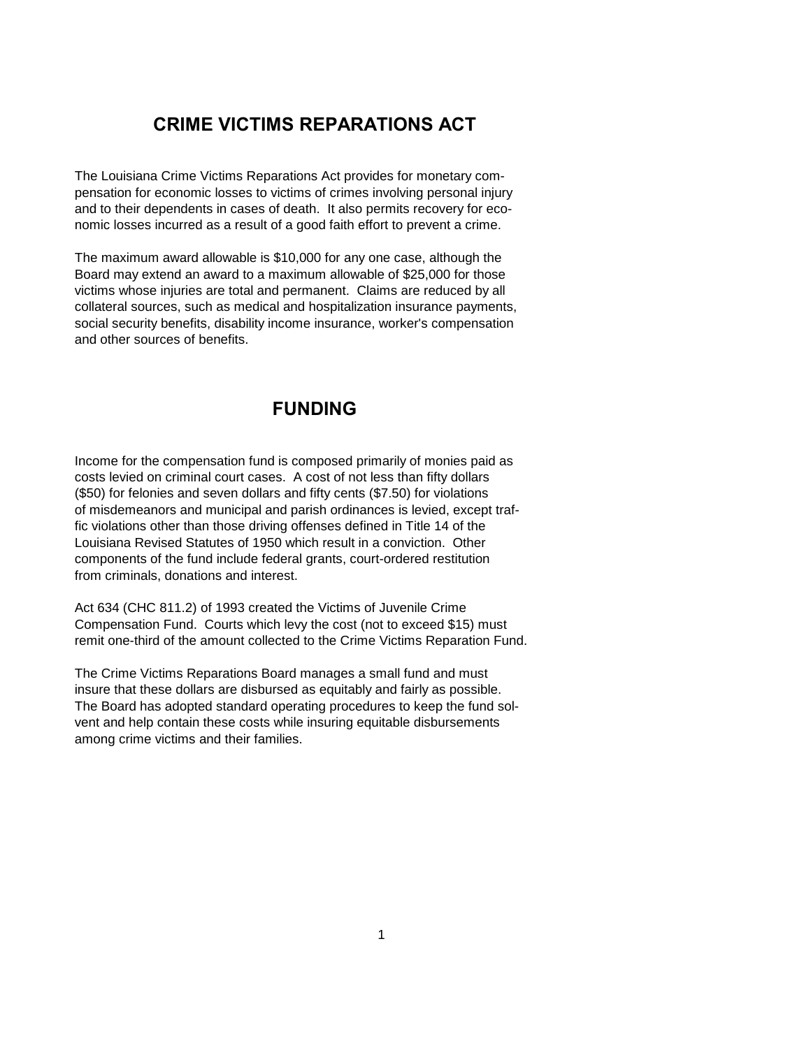# **CRIME VICTIMS REPARATIONS ACT**

The Louisiana Crime Victims Reparations Act provides for monetary compensation for economic losses to victims of crimes involving personal injury and to their dependents in cases of death. It also permits recovery for economic losses incurred as a result of a good faith effort to prevent a crime.

The maximum award allowable is \$10,000 for any one case, although the Board may extend an award to a maximum allowable of \$25,000 for those victims whose injuries are total and permanent. Claims are reduced by all collateral sources, such as medical and hospitalization insurance payments, social security benefits, disability income insurance, worker's compensation and other sources of benefits.

# **FUNDING**

Income for the compensation fund is composed primarily of monies paid as costs levied on criminal court cases. A cost of not less than fifty dollars (\$50) for felonies and seven dollars and fifty cents (\$7.50) for violations of misdemeanors and municipal and parish ordinances is levied, except traffic violations other than those driving offenses defined in Title 14 of the Louisiana Revised Statutes of 1950 which result in a conviction. Other components of the fund include federal grants, court-ordered restitution from criminals, donations and interest.

Act 634 (CHC 811.2) of 1993 created the Victims of Juvenile Crime Compensation Fund. Courts which levy the cost (not to exceed \$15) must remit one-third of the amount collected to the Crime Victims Reparation Fund.

The Crime Victims Reparations Board manages a small fund and must insure that these dollars are disbursed as equitably and fairly as possible. The Board has adopted standard operating procedures to keep the fund solvent and help contain these costs while insuring equitable disbursements among crime victims and their families.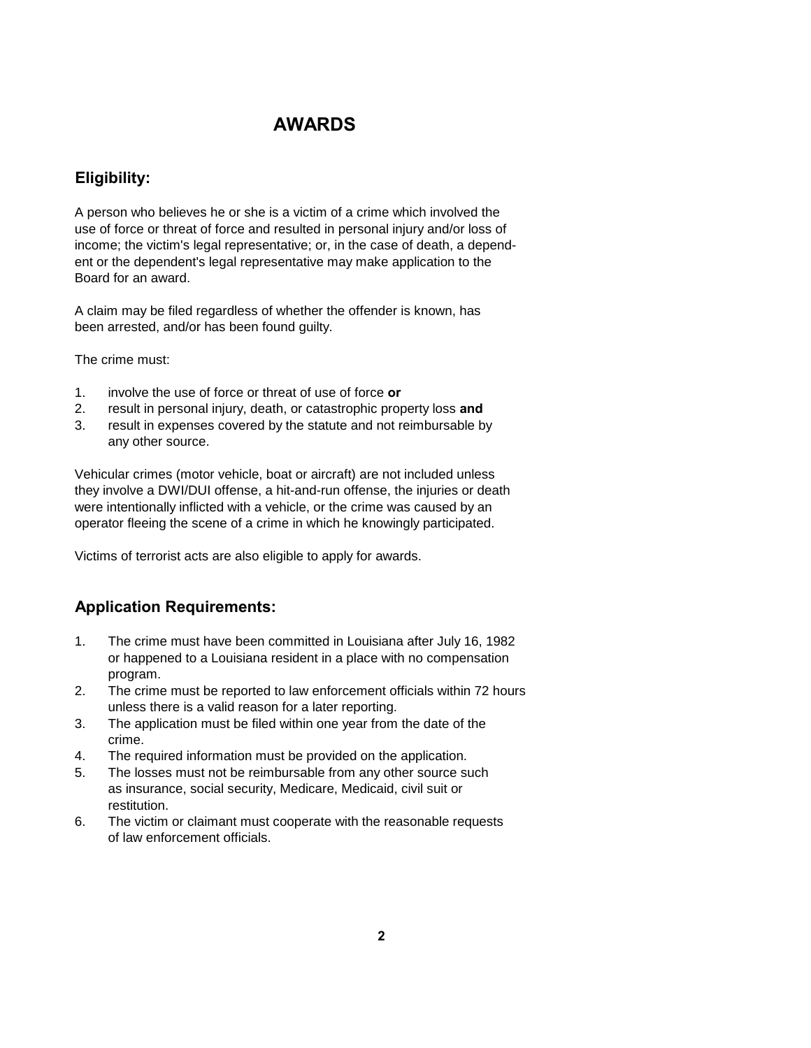# **AWARDS**

#### **Eligibility:**

A person who believes he or she is a victim of a crime which involved the use of force or threat of force and resulted in personal injury and/or loss of income; the victim's legal representative; or, in the case of death, a dependent or the dependent's legal representative may make application to the Board for an award.

A claim may be filed regardless of whether the offender is known, has been arrested, and/or has been found guilty.

The crime must:

- 1. involve the use of force or threat of use of force **or**
- 2. result in personal injury, death, or catastrophic property loss **and**
- 3. result in expenses covered by the statute and not reimbursable by any other source.

Vehicular crimes (motor vehicle, boat or aircraft) are not included unless they involve a DWI/DUI offense, a hit-and-run offense, the injuries or death were intentionally inflicted with a vehicle, or the crime was caused by an operator fleeing the scene of a crime in which he knowingly participated.

Victims of terrorist acts are also eligible to apply for awards.

#### **Application Requirements:**

- 1. The crime must have been committed in Louisiana after July 16, 1982 or happened to a Louisiana resident in a place with no compensation program.
- 2. The crime must be reported to law enforcement officials within 72 hours unless there is a valid reason for a later reporting.
- 3. The application must be filed within one year from the date of the crime.
- 4. The required information must be provided on the application.
- 5. The losses must not be reimbursable from any other source such as insurance, social security, Medicare, Medicaid, civil suit or restitution.
- 6. The victim or claimant must cooperate with the reasonable requests of law enforcement officials.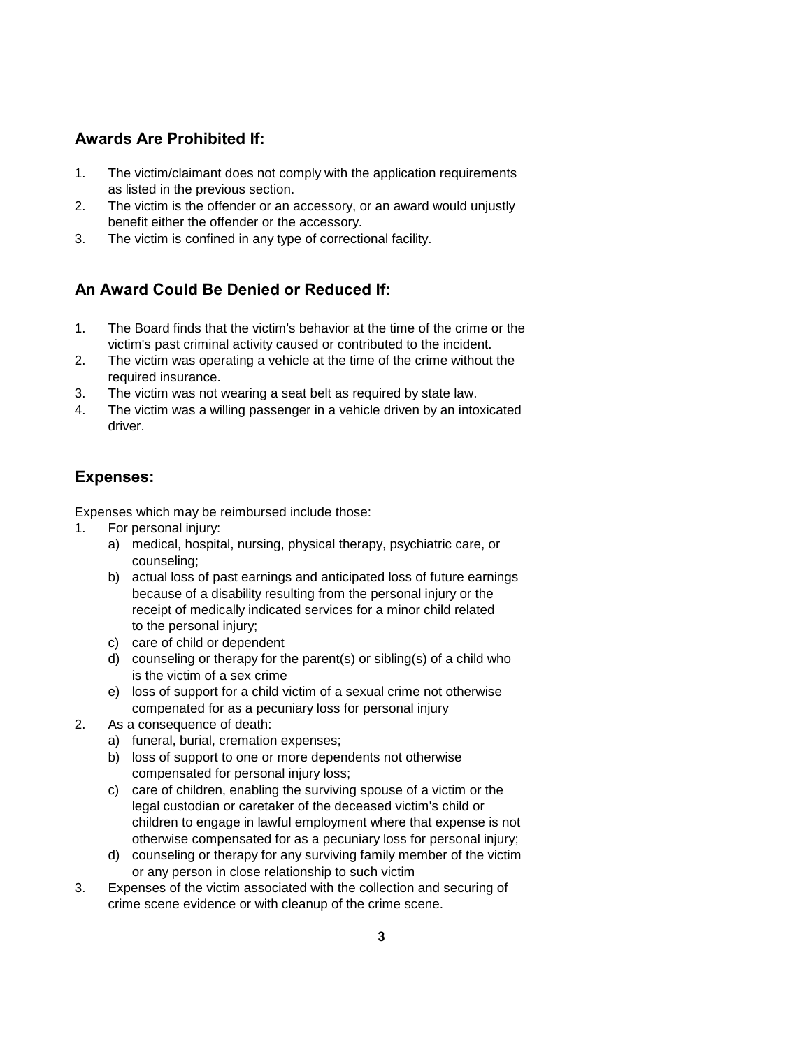#### **Awards Are Prohibited If:**

- 1. The victim/claimant does not comply with the application requirements as listed in the previous section.
- 2. The victim is the offender or an accessory, or an award would unjustly benefit either the offender or the accessory.
- 3. The victim is confined in any type of correctional facility.

## **An Award Could Be Denied or Reduced If:**

- 1. The Board finds that the victim's behavior at the time of the crime or the victim's past criminal activity caused or contributed to the incident.
- 2. The victim was operating a vehicle at the time of the crime without the required insurance.
- 3. The victim was not wearing a seat belt as required by state law.
- 4. The victim was a willing passenger in a vehicle driven by an intoxicated driver.

### **Expenses:**

Expenses which may be reimbursed include those:

- 1. For personal injury:
	- a) medical, hospital, nursing, physical therapy, psychiatric care, or counseling;
	- b) actual loss of past earnings and anticipated loss of future earnings because of a disability resulting from the personal injury or the receipt of medically indicated services for a minor child related to the personal injury;
	- c) care of child or dependent
	- d) counseling or therapy for the parent(s) or sibling(s) of a child who is the victim of a sex crime
	- e) loss of support for a child victim of a sexual crime not otherwise compenated for as a pecuniary loss for personal injury
- 2. As a consequence of death:
	- a) funeral, burial, cremation expenses;
	- b) loss of support to one or more dependents not otherwise compensated for personal injury loss;
	- c) care of children, enabling the surviving spouse of a victim or the legal custodian or caretaker of the deceased victim's child or children to engage in lawful employment where that expense is not otherwise compensated for as a pecuniary loss for personal injury;
	- d) counseling or therapy for any surviving family member of the victim or any person in close relationship to such victim
- 3. Expenses of the victim associated with the collection and securing of crime scene evidence or with cleanup of the crime scene.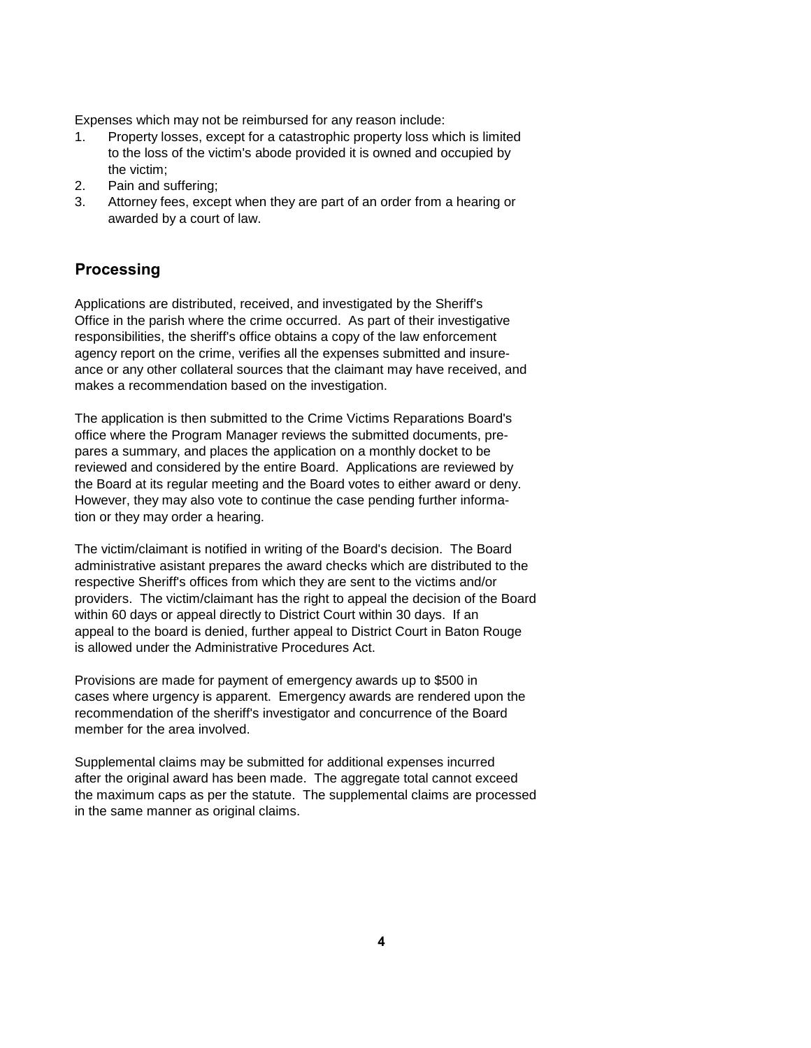Expenses which may not be reimbursed for any reason include:

- 1. Property losses, except for a catastrophic property loss which is limited to the loss of the victim's abode provided it is owned and occupied by the victim;
- 2. Pain and suffering;
- 3. Attorney fees, except when they are part of an order from a hearing or awarded by a court of law.

#### **Processing**

Applications are distributed, received, and investigated by the Sheriff's Office in the parish where the crime occurred. As part of their investigative responsibilities, the sheriff's office obtains a copy of the law enforcement agency report on the crime, verifies all the expenses submitted and insureance or any other collateral sources that the claimant may have received, and makes a recommendation based on the investigation.

The application is then submitted to the Crime Victims Reparations Board's office where the Program Manager reviews the submitted documents, prepares a summary, and places the application on a monthly docket to be reviewed and considered by the entire Board. Applications are reviewed by the Board at its regular meeting and the Board votes to either award or deny. However, they may also vote to continue the case pending further information or they may order a hearing.

The victim/claimant is notified in writing of the Board's decision. The Board administrative asistant prepares the award checks which are distributed to the respective Sheriff's offices from which they are sent to the victims and/or providers. The victim/claimant has the right to appeal the decision of the Board within 60 days or appeal directly to District Court within 30 days. If an appeal to the board is denied, further appeal to District Court in Baton Rouge is allowed under the Administrative Procedures Act.

Provisions are made for payment of emergency awards up to \$500 in cases where urgency is apparent. Emergency awards are rendered upon the recommendation of the sheriff's investigator and concurrence of the Board member for the area involved.

Supplemental claims may be submitted for additional expenses incurred after the original award has been made. The aggregate total cannot exceed the maximum caps as per the statute. The supplemental claims are processed in the same manner as original claims.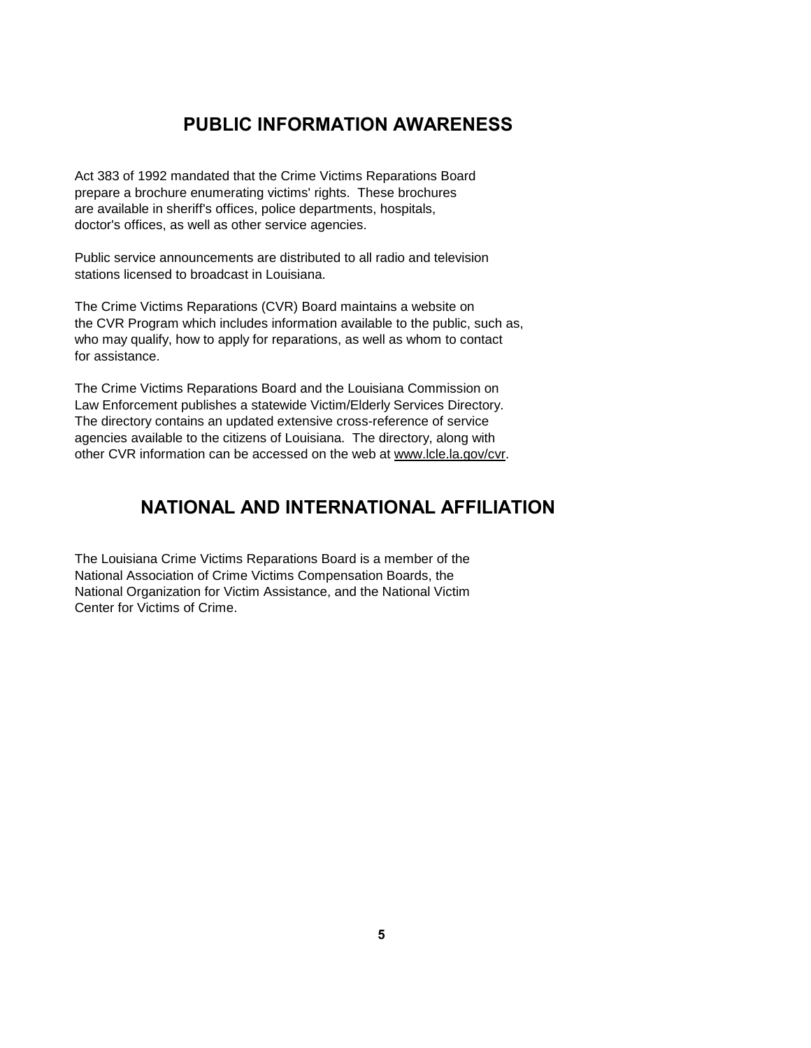# **PUBLIC INFORMATION AWARENESS**

Act 383 of 1992 mandated that the Crime Victims Reparations Board prepare a brochure enumerating victims' rights. These brochures are available in sheriff's offices, police departments, hospitals, doctor's offices, as well as other service agencies.

Public service announcements are distributed to all radio and television stations licensed to broadcast in Louisiana.

The Crime Victims Reparations (CVR) Board maintains a website on the CVR Program which includes information available to the public, such as, who may qualify, how to apply for reparations, as well as whom to contact for assistance.

The Crime Victims Reparations Board and the Louisiana Commission on Law Enforcement publishes a statewide Victim/Elderly Services Directory. The directory contains an updated extensive cross-reference of service agencies available to the citizens of Louisiana. The directory, along with other CVR information can be accessed on the web at www.lcle.la.gov/cvr.

# **NATIONAL AND INTERNATIONAL AFFILIATION**

The Louisiana Crime Victims Reparations Board is a member of the National Association of Crime Victims Compensation Boards, the National Organization for Victim Assistance, and the National Victim Center for Victims of Crime.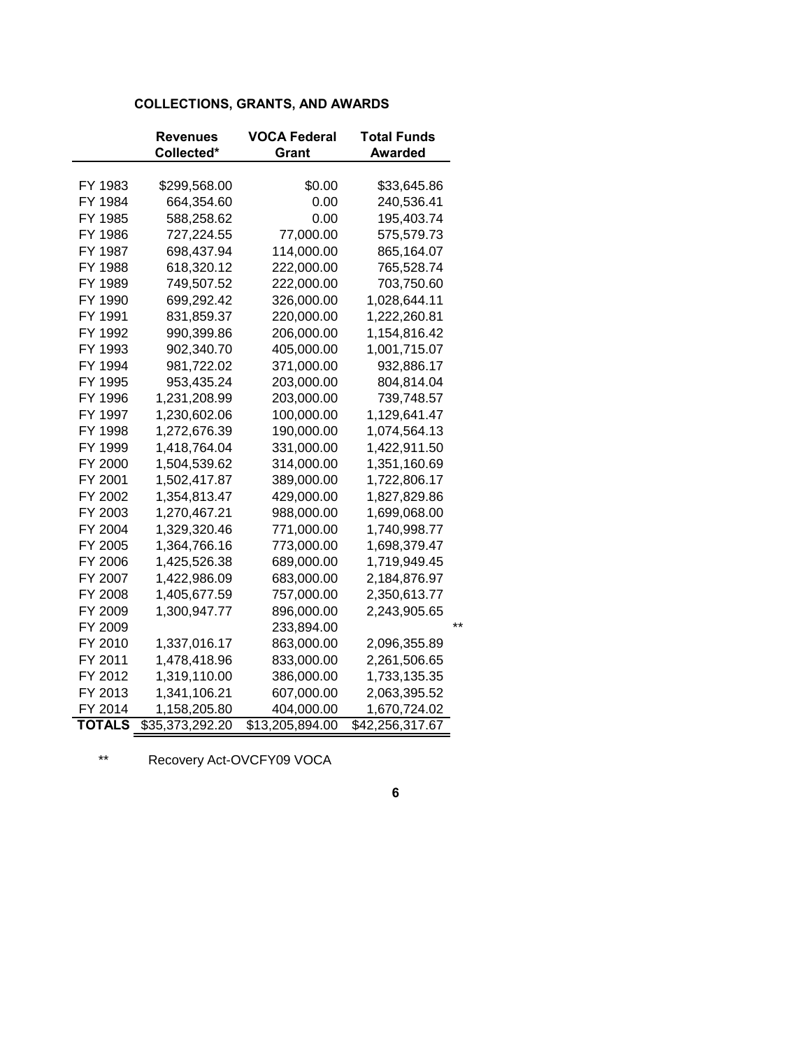#### **COLLECTIONS, GRANTS, AND AWARDS**

|               | Revenues        | VOCA Federal    | <b>Total Funds</b> |       |
|---------------|-----------------|-----------------|--------------------|-------|
|               | Collected*      | Grant           | <b>Awarded</b>     |       |
|               |                 |                 |                    |       |
| FY 1983       | \$299,568.00    | \$0.00          | \$33,645.86        |       |
| FY 1984       | 664,354.60      | 0.00            | 240,536.41         |       |
| FY 1985       | 588,258.62      | 0.00            | 195,403.74         |       |
| FY 1986       | 727,224.55      | 77,000.00       | 575,579.73         |       |
| FY 1987       | 698,437.94      | 114,000.00      | 865,164.07         |       |
| FY 1988       | 618,320.12      | 222,000.00      | 765,528.74         |       |
| FY 1989       | 749,507.52      | 222,000.00      | 703,750.60         |       |
| FY 1990       | 699,292.42      | 326,000.00      | 1,028,644.11       |       |
| FY 1991       | 831,859.37      | 220,000.00      | 1,222,260.81       |       |
| FY 1992       | 990,399.86      | 206,000.00      | 1,154,816.42       |       |
| FY 1993       | 902,340.70      | 405,000.00      | 1,001,715.07       |       |
| FY 1994       | 981,722.02      | 371,000.00      | 932,886.17         |       |
| FY 1995       | 953,435.24      | 203,000.00      | 804,814.04         |       |
| FY 1996       | 1,231,208.99    | 203,000.00      | 739,748.57         |       |
| FY 1997       | 1,230,602.06    | 100,000.00      | 1,129,641.47       |       |
| FY 1998       | 1,272,676.39    | 190,000.00      | 1,074,564.13       |       |
| FY 1999       | 1,418,764.04    | 331,000.00      | 1,422,911.50       |       |
| FY 2000       | 1,504,539.62    | 314,000.00      | 1,351,160.69       |       |
| FY 2001       | 1,502,417.87    | 389,000.00      | 1,722,806.17       |       |
| FY 2002       | 1,354,813.47    | 429,000.00      | 1,827,829.86       |       |
| FY 2003       | 1,270,467.21    | 988,000.00      | 1,699,068.00       |       |
| FY 2004       | 1,329,320.46    | 771,000.00      | 1,740,998.77       |       |
| FY 2005       | 1,364,766.16    | 773,000.00      | 1,698,379.47       |       |
| FY 2006       | 1,425,526.38    | 689,000.00      | 1,719,949.45       |       |
| FY 2007       | 1,422,986.09    | 683,000.00      | 2,184,876.97       |       |
| FY 2008       | 1,405,677.59    | 757,000.00      | 2,350,613.77       |       |
| FY 2009       | 1,300,947.77    | 896,000.00      | 2,243,905.65       |       |
| FY 2009       |                 | 233,894.00      |                    | $***$ |
| FY 2010       | 1,337,016.17    | 863,000.00      | 2,096,355.89       |       |
| FY 2011       | 1,478,418.96    | 833,000.00      | 2,261,506.65       |       |
| FY 2012       | 1,319,110.00    | 386,000.00      | 1,733,135.35       |       |
| FY 2013       | 1,341,106.21    | 607,000.00      | 2,063,395.52       |       |
| FY 2014       | 1,158,205.80    | 404,000.00      | 1,670,724.02       |       |
| <b>TOTALS</b> | \$35,373,292.20 | \$13,205,894.00 | \$42,256,317.67    |       |

\*\* Recovery Act-OVCFY09 VOCA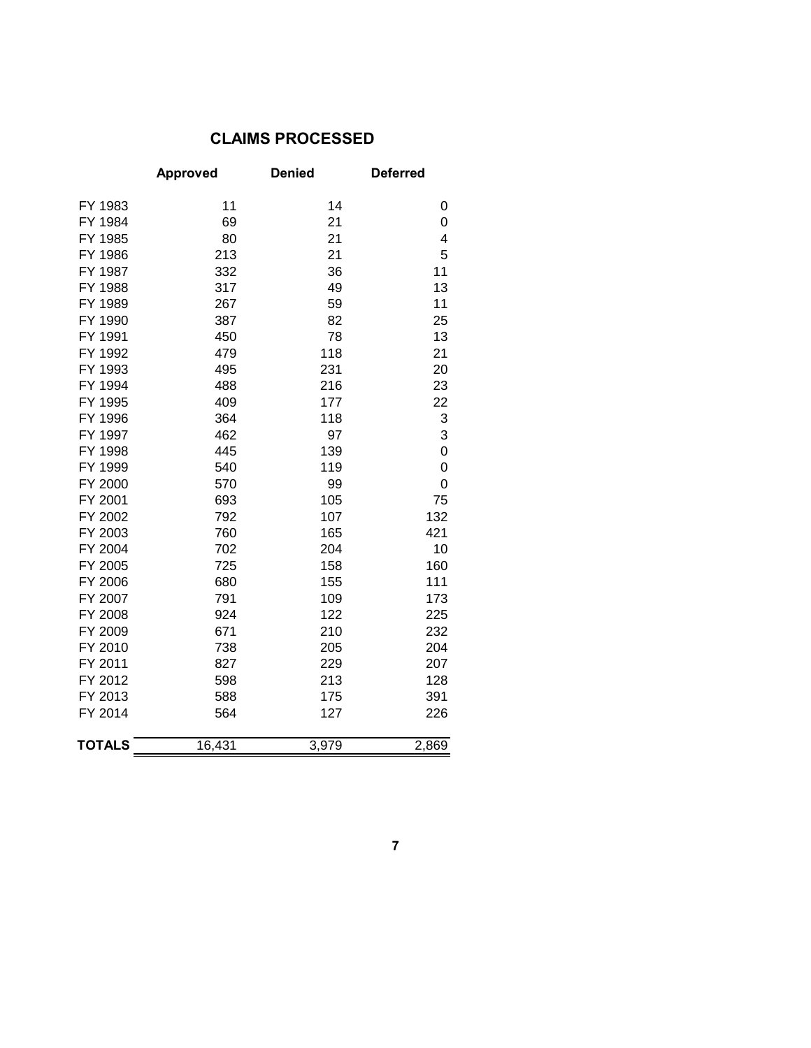## **CLAIMS PROCESSED**

|               | <b>Approved</b> | <b>Denied</b> | <b>Deferred</b> |
|---------------|-----------------|---------------|-----------------|
| FY 1983       | 11              | 14            | 0               |
| FY 1984       | 69              | 21            | 0               |
| FY 1985       | 80              | 21            | 4               |
| FY 1986       | 213             | 21            | 5               |
| FY 1987       | 332             | 36            | 11              |
| FY 1988       | 317             | 49            | 13              |
| FY 1989       | 267             | 59            | 11              |
| FY 1990       | 387             | 82            | 25              |
| FY 1991       | 450             | 78            | 13              |
| FY 1992       | 479             | 118           | 21              |
| FY 1993       | 495             | 231           | 20              |
| FY 1994       | 488             | 216           | 23              |
| FY 1995       | 409             | 177           | 22              |
| FY 1996       | 364             | 118           | 3               |
| FY 1997       | 462             | 97            | 3               |
| FY 1998       | 445             | 139           | 0               |
| FY 1999       | 540             | 119           | 0               |
| FY 2000       | 570             | 99            | 0               |
| FY 2001       | 693             | 105           | 75              |
| FY 2002       | 792             | 107           | 132             |
| FY 2003       | 760             | 165           | 421             |
| FY 2004       | 702             | 204           | 10              |
| FY 2005       | 725             | 158           | 160             |
| FY 2006       | 680             | 155           | 111             |
| FY 2007       | 791             | 109           | 173             |
| FY 2008       | 924             | 122           | 225             |
| FY 2009       | 671             | 210           | 232             |
| FY 2010       | 738             | 205           | 204             |
| FY 2011       | 827             | 229           | 207             |
| FY 2012       | 598             | 213           | 128             |
| FY 2013       | 588             | 175           | 391             |
| FY 2014       | 564             | 127           | 226             |
| <b>TOTALS</b> | 16,431          | 3,979         | 2,869           |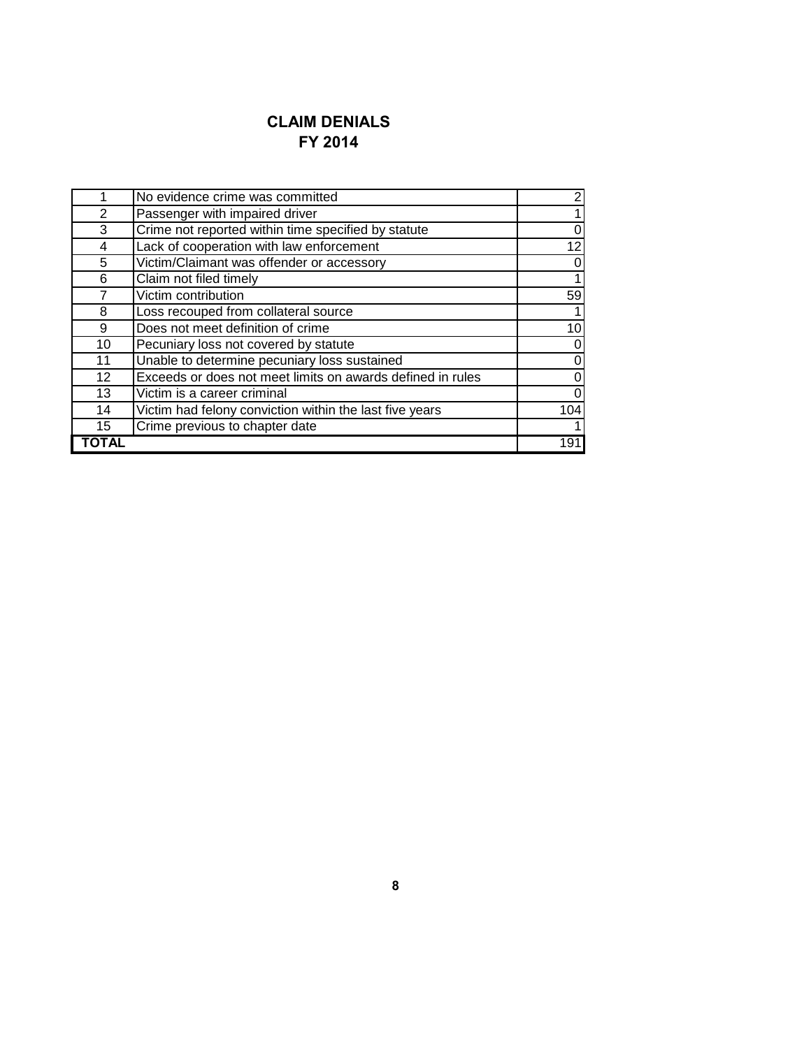# **CLAIM DENIALS FY 2014**

|                | No evidence crime was committed                            | $\boldsymbol{2}$ |
|----------------|------------------------------------------------------------|------------------|
| $\overline{2}$ | Passenger with impaired driver                             | 1                |
| 3              | Crime not reported within time specified by statute        | $\pmb{0}$        |
| 4              | Lack of cooperation with law enforcement                   | 12               |
| 5              | Victim/Claimant was offender or accessory                  | $\pmb{0}$        |
| 6              | Claim not filed timely                                     | 1                |
| 7              | Victim contribution                                        | 59               |
| 8              | Loss recouped from collateral source                       | 1                |
| 9              | Does not meet definition of crime                          | $\overline{10}$  |
| 10             | Pecuniary loss not covered by statute                      | $\pmb{0}$        |
| 11             | Unable to determine pecuniary loss sustained               | 0                |
| 12             | Exceeds or does not meet limits on awards defined in rules | $\pmb{0}$        |
| 13             | Victim is a career criminal                                | 0                |
| 14             | Victim had felony conviction within the last five years    | 104              |
| 15             | Crime previous to chapter date                             | $\mathbf 1$      |
|                |                                                            | 191              |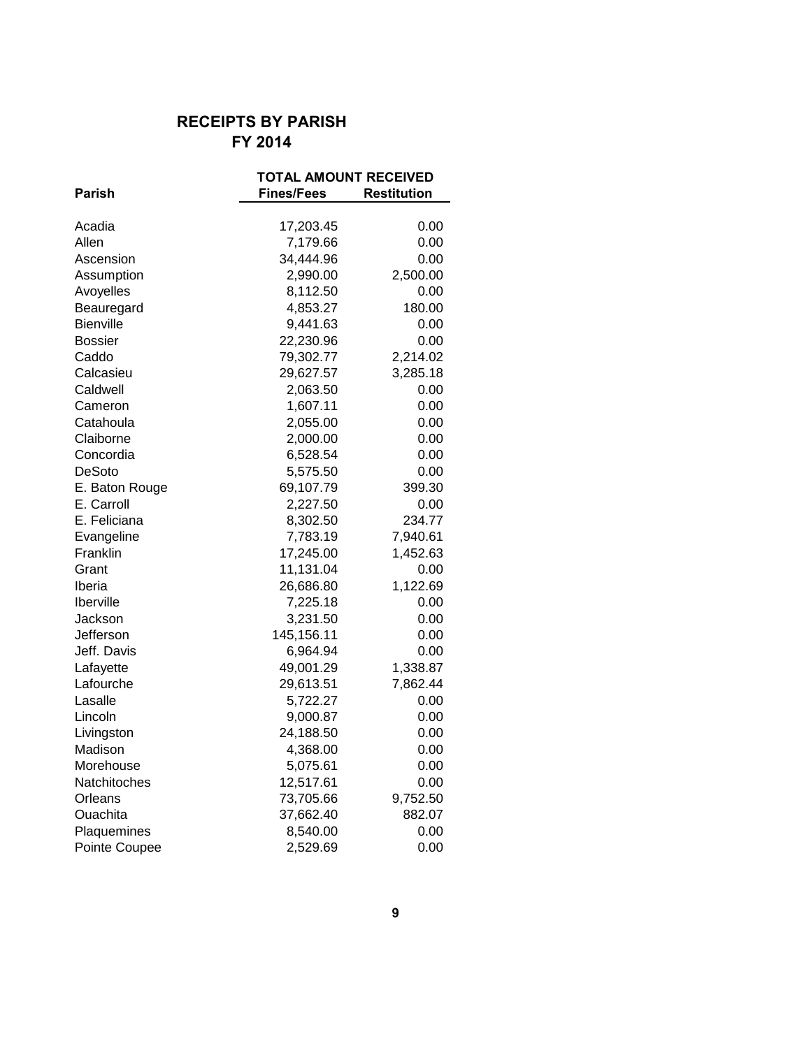# **RECEIPTS BY PARISH FY 2014**

|                | <b>TOTAL AMOUNT RECEIVED</b> |                    |
|----------------|------------------------------|--------------------|
| <b>Parish</b>  | <b>Fines/Fees</b>            | <b>Restitution</b> |
|                |                              |                    |
| Acadia         | 17,203.45                    | 0.00               |
| Allen          | 7,179.66                     | 0.00               |
| Ascension      | 34,444.96                    | 0.00               |
| Assumption     | 2,990.00                     | 2,500.00           |
| Avoyelles      | 8,112.50                     | 0.00               |
| Beauregard     | 4,853.27                     | 180.00             |
| Bienville      | 9,441.63                     | 0.00               |
| <b>Bossier</b> | 22,230.96                    | 0.00               |
| Caddo          | 79,302.77                    | 2,214.02           |
| Calcasieu      | 29,627.57                    | 3,285.18           |
| Caldwell       | 2,063.50                     | 0.00               |
| Cameron        | 1,607.11                     | 0.00               |
| Catahoula      | 2,055.00                     | 0.00               |
| Claiborne      | 2,000.00                     | 0.00               |
| Concordia      | 6,528.54                     | 0.00               |
| DeSoto         | 5,575.50                     | 0.00               |
| E. Baton Rouge | 69,107.79                    | 399.30             |
| E. Carroll     | 2,227.50                     | 0.00               |
| E. Feliciana   | 8,302.50                     | 234.77             |
| Evangeline     | 7,783.19                     | 7,940.61           |
| Franklin       | 17,245.00                    | 1,452.63           |
| Grant          | 11,131.04                    | 0.00               |
| Iberia         | 26,686.80                    | 1,122.69           |
| Iberville      | 7,225.18                     | 0.00               |
| Jackson        | 3,231.50                     | 0.00               |
| Jefferson      | 145,156.11                   | 0.00               |
| Jeff. Davis    | 6,964.94                     | 0.00               |
| Lafayette      | 49,001.29                    | 1,338.87           |
| Lafourche      | 29,613.51                    | 7,862.44           |
| Lasalle        | 5,722.27                     | 0.00               |
| Lincoln        | 9,000.87                     | 0.00               |
| Livingston     | 24,188.50                    | 0.00               |
| Madison        | 4,368.00                     | 0.00               |
| Morehouse      | 5,075.61                     | 0.00               |
| Natchitoches   | 12,517.61                    | 0.00               |
| Orleans        | 73,705.66                    | 9,752.50           |
| Ouachita       | 37,662.40                    | 882.07             |
| Plaquemines    | 8,540.00                     | 0.00               |
| Pointe Coupee  | 2,529.69                     | 0.00               |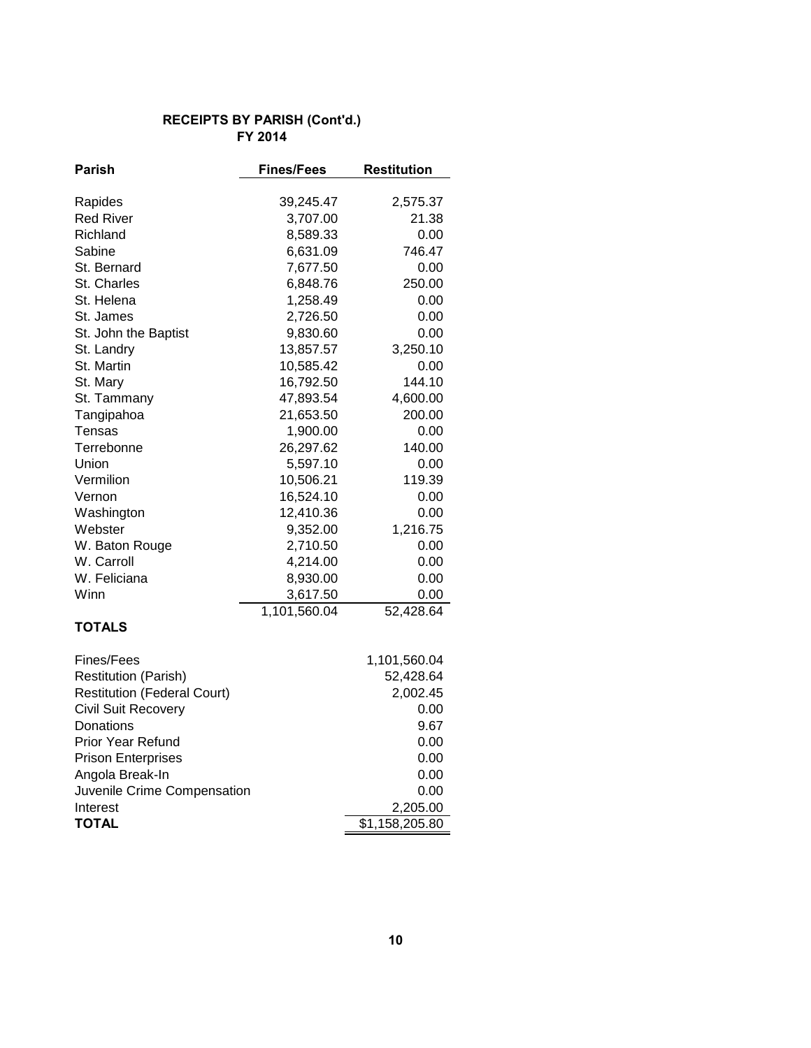#### **RECEIPTS BY PARISH (Cont'd.) FY 2014**

| Parish                             | <b>Fines/Fees</b> | Restitution    |
|------------------------------------|-------------------|----------------|
| Rapides                            | 39,245.47         | 2,575.37       |
| <b>Red River</b>                   | 3,707.00          | 21.38          |
| Richland                           | 8,589.33          | 0.00           |
| Sabine                             | 6,631.09          | 746.47         |
| St. Bernard                        | 7,677.50          | 0.00           |
| St. Charles                        | 6,848.76          | 250.00         |
| St. Helena                         | 1,258.49          | 0.00           |
| St. James                          | 2,726.50          | 0.00           |
| St. John the Baptist               | 9,830.60          | 0.00           |
| St. Landry                         | 13,857.57         | 3,250.10       |
| St. Martin                         | 10,585.42         | 0.00           |
| St. Mary                           | 16,792.50         | 144.10         |
| St. Tammany                        | 47,893.54         | 4,600.00       |
| Tangipahoa                         | 21,653.50         | 200.00         |
| Tensas                             | 1,900.00          | 0.00           |
| Terrebonne                         | 26,297.62         | 140.00         |
| Union                              | 5,597.10          | 0.00           |
| Vermilion                          | 10,506.21         | 119.39         |
| Vernon                             | 16,524.10         | 0.00           |
| Washington                         | 12,410.36         | 0.00           |
| Webster                            | 9,352.00          | 1,216.75       |
| W. Baton Rouge                     | 2,710.50          | 0.00           |
| W. Carroll                         | 4,214.00          | 0.00           |
| W. Feliciana                       | 8,930.00          | 0.00           |
| Winn                               | 3,617.50          | 0.00           |
|                                    | 1,101,560.04      | 52,428.64      |
| <b>TOTALS</b>                      |                   |                |
| Fines/Fees                         |                   | 1,101,560.04   |
| <b>Restitution (Parish)</b>        |                   | 52,428.64      |
| <b>Restitution (Federal Court)</b> |                   | 2,002.45       |
| <b>Civil Suit Recovery</b>         |                   | 0.00           |
| Donations                          |                   | 9.67           |
| <b>Prior Year Refund</b>           |                   | 0.00           |
| <b>Prison Enterprises</b>          |                   | 0.00           |
| Angola Break-In                    |                   | 0.00           |
| Juvenile Crime Compensation        |                   | 0.00           |
| Interest                           |                   | 2,205.00       |
| <b>TOTAL</b>                       |                   | \$1,158,205.80 |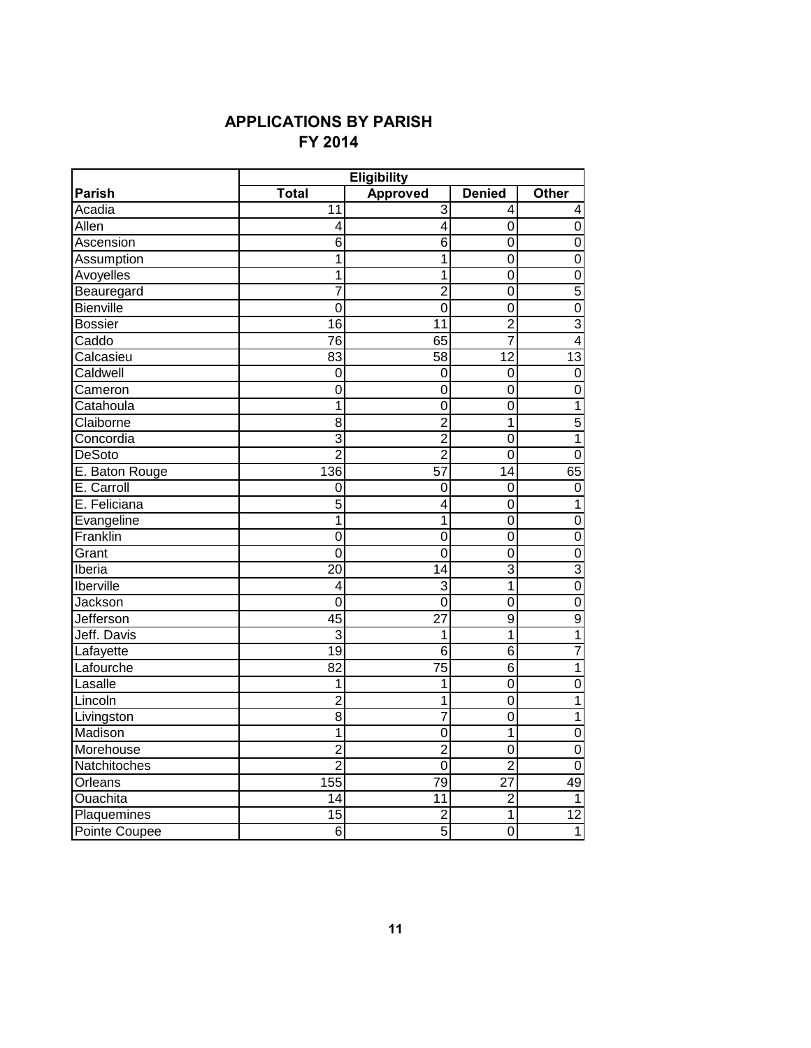# **FY 2014 APPLICATIONS BY PARISH**

|                      | <b>Eligibility</b> |                 |                 |                         |
|----------------------|--------------------|-----------------|-----------------|-------------------------|
| Parish               | <b>Total</b>       | <b>Approved</b> | <b>Denied</b>   | <b>Other</b>            |
| Acadia               | 11                 | 3               | 4               | 4                       |
| Allen                | 4                  | 4               | 0               | $\boldsymbol{0}$        |
| Ascension            | 6                  | 6               | 0               | $\boldsymbol{0}$        |
| Assumption           | 1                  | 1               | $\overline{0}$  | $\overline{0}$          |
| Avoyelles            | 1                  | 1               | 0               | $\boldsymbol{0}$        |
| Beauregard           | $\overline{7}$     | $\overline{2}$  | $\overline{0}$  | $\sqrt{5}$              |
| Bienville            | 0                  | $\mathbf 0$     | 0               | $\overline{0}$          |
| <b>Bossier</b>       | 16                 | 11              | $\overline{2}$  | $\overline{3}$          |
| Caddo                | 76                 | 65              | $\overline{7}$  | $\overline{\mathbf{4}}$ |
| Calcasieu            | 83                 | 58              | $\overline{12}$ | 13                      |
| Caldwell             | $\mathbf 0$        | 0               | $\mathbf 0$     | $\pmb{0}$               |
| Cameron              | $\overline{0}$     | $\mathbf 0$     | $\overline{0}$  | $\mathbf 0$             |
| Catahoula            | 1                  | 0               | 0               | $\mathbf 1$             |
| Claiborne            | $\overline{8}$     | $\overline{2}$  | 1               | $\overline{5}$          |
| Concordia            | $\overline{3}$     | $\overline{2}$  | $\overline{0}$  | $\overline{1}$          |
| <b>DeSoto</b>        | $\overline{2}$     | $\overline{2}$  | $\overline{0}$  | $\overline{0}$          |
| E. Baton Rouge       | 136                | $\overline{57}$ | $\overline{14}$ | 65                      |
| E. Carroll           | $\mathbf 0$        | $\mathbf 0$     | 0               | $\overline{0}$          |
| E. Feliciana         | 5                  | 4               | $\mathbf 0$     | $\mathbf 1$             |
| Evangeline           | $\mathbf 1$        | 1               | 0               | $\overline{0}$          |
| Franklin             | $\overline{0}$     | $\mathbf 0$     | $\overline{0}$  | $\overline{0}$          |
| Grant                | $\overline{0}$     | $\overline{0}$  | $\overline{0}$  | $\mathbf 0$             |
| Iberia               | $\overline{20}$    | 14              | $\overline{3}$  | $\overline{3}$          |
| Iberville            | 4                  | 3               | 1               | $\overline{0}$          |
| Jackson              | 0                  | $\mathbf 0$     | 0               | $\pmb{0}$               |
| Jefferson            | $\overline{45}$    | $\overline{27}$ | $\overline{9}$  | $\overline{9}$          |
| Jeff. Davis          | $\overline{3}$     | 1               | $\overline{1}$  | $\mathbf 1$             |
| Lafayette            | 19                 | 6               | $\overline{6}$  | $\overline{7}$          |
| Lafourche            | $\overline{82}$    | $\overline{75}$ | $\overline{6}$  | $\overline{1}$          |
| Lasalle              | 1                  | 1               | $\overline{0}$  | $\mathbf 0$             |
| Lincoln              | $\overline{2}$     | 1               | $\mathbf 0$     | $\mathbf{1}$            |
| Livingston           | 8                  | $\overline{7}$  | $\mathbf 0$     | $\mathbf{1}$            |
| Madison              | $\mathbf 1$        | $\overline{0}$  | $\overline{1}$  | $\overline{0}$          |
| Morehouse            | $\overline{2}$     | $\overline{2}$  | 0               | $\boldsymbol{0}$        |
| Natchitoches         | $\overline{2}$     | $\overline{0}$  | $\overline{2}$  | $\boldsymbol{0}$        |
| Orleans              | 155                | 79              | $\overline{27}$ | 49                      |
| Ouachita             | 14                 | 11              | $\overline{c}$  | 1                       |
| Plaquemines          | 15                 | $\overline{c}$  | 1               | 12                      |
| <b>Pointe Coupee</b> | $\overline{6}$     | $\overline{5}$  | $\overline{0}$  | 1                       |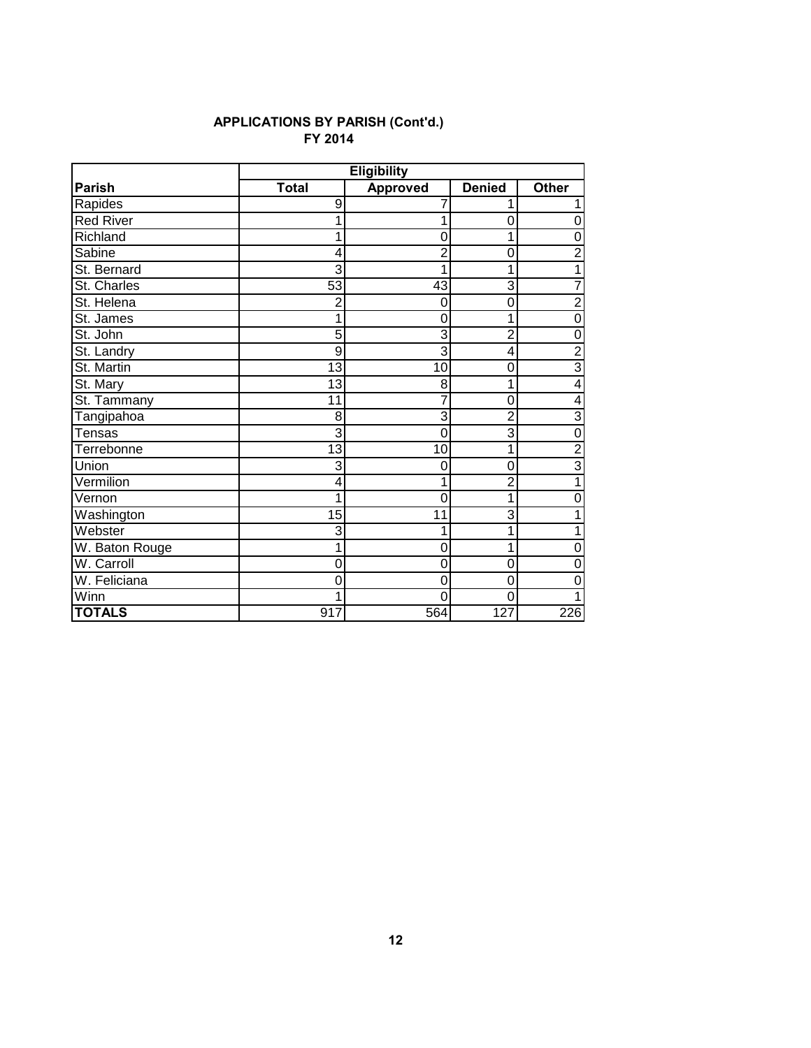#### **FY 2014 APPLICATIONS BY PARISH (Cont'd.)**

|                  |                | <b>Eligibility</b> |                |                         |
|------------------|----------------|--------------------|----------------|-------------------------|
| <b>Parish</b>    | <b>Total</b>   | <b>Approved</b>    | <b>Denied</b>  | <b>Other</b>            |
| Rapides          | 9              | 7                  | 1              | 1                       |
| <b>Red River</b> |                | 1                  | 0              | 0                       |
| Richland         |                | 0                  | 1              | $\overline{0}$          |
| Sabine           | 4              | $\overline{2}$     | 0              | $\overline{2}$          |
| St. Bernard      | 3              | 1                  | 1              | $\overline{1}$          |
| St. Charles      | 53             | 43                 | 3              | $\overline{7}$          |
| St. Helena       | $\overline{2}$ | 0                  | 0              | $\overline{2}$          |
| St. James        |                | 0                  | 1              | $\boldsymbol{0}$        |
| St. John         | 5              | 3                  | $\overline{2}$ | $\overline{0}$          |
| St. Landry       | 9              | 3                  | 4              | $\overline{2}$          |
| St. Martin       | 13             | 10                 | 0              | $\overline{3}$          |
| St. Mary         | 13             | 8                  | 1              | $\overline{\mathbf{4}}$ |
| St. Tammany      | 11             | 7                  | $\mathbf 0$    | $\overline{4}$          |
| Tangipahoa       | 8              | 3                  | $\overline{2}$ | $\overline{3}$          |
| <b>Tensas</b>    | 3              | 0                  | 3              | $\mathbf 0$             |
| Terrebonne       | 13             | 10                 | 1              | $\frac{2}{3}$           |
| Union            | 3              | 0                  | $\Omega$       |                         |
| Vermilion        | 4              | 1                  | $\overline{2}$ | $\mathbf{1}$            |
| Vernon           | 1              | 0                  | 1              | $\mathbf 0$             |
| Washington       | 15             | 11                 | 3              | $\overline{1}$          |
| Webster          | 3              | 1                  | 1              | $\mathbf 1$             |
| W. Baton Rouge   |                | 0                  | 1              | $\mathbf 0$             |
| W. Carroll       | O              | 0                  | 0              | 0                       |
| W. Feliciana     | 0              | $\overline{0}$     | $\overline{0}$ | 0                       |
| Winn             |                | 0                  | $\overline{0}$ | 1                       |
| <b>TOTALS</b>    | 917            | 564                | 127            | 226                     |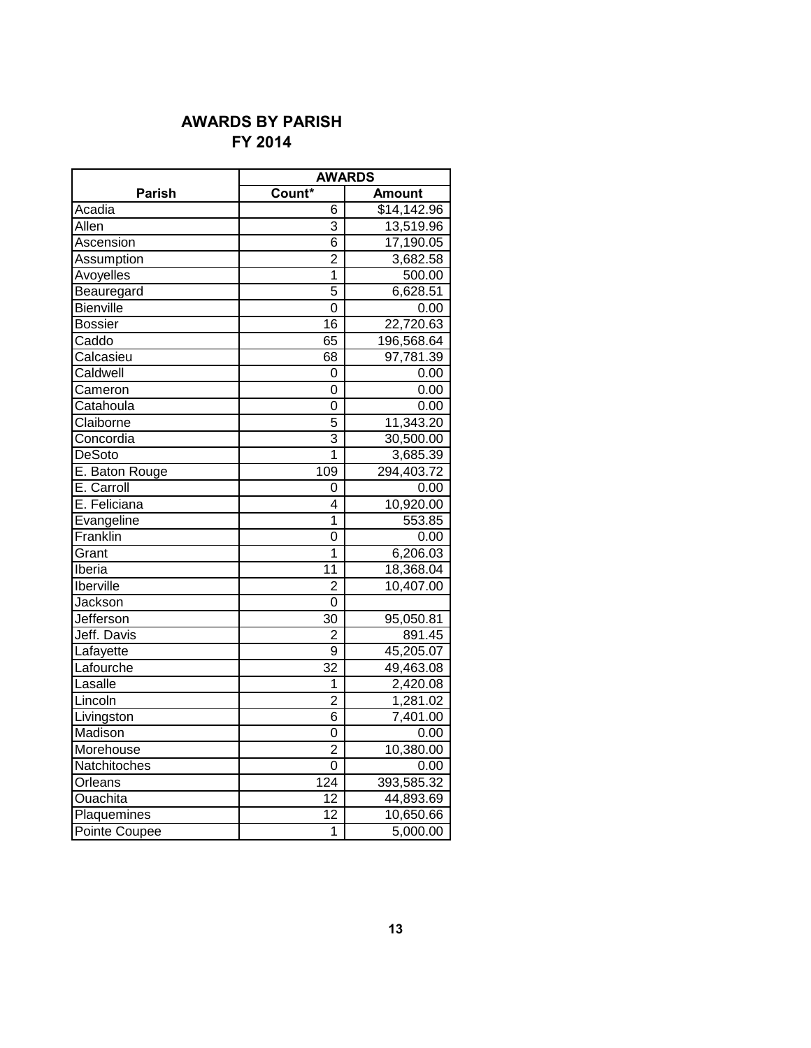# **AWARDS BY PARISH FY 2014**

|                  | <b>AWARDS</b>           |               |
|------------------|-------------------------|---------------|
| Parish           | Count*                  | <b>Amount</b> |
| Acadia           | 6                       | \$14,142.96   |
| Allen            | 3                       | 13,519.96     |
| Ascension        | 6                       | 17,190.05     |
| Assumption       | $\overline{2}$          | 3,682.58      |
| Avoyelles        | 1                       | 500.00        |
| Beauregard       | 5                       | 6,628.51      |
| Bienville        | 0                       | 0.00          |
| <b>Bossier</b>   | 16                      | 22,720.63     |
| Caddo            | 65                      | 196,568.64    |
| Calcasieu        | 68                      | 97,781.39     |
| Caldwell         | 0                       | 0.00          |
| Cameron          | 0                       | 0.00          |
| Catahoula        | 0                       | 0.00          |
| Claiborne        | 5                       | 11,343.20     |
| Concordia        | 3                       | 30,500.00     |
| <b>DeSoto</b>    | $\overline{\mathbf{1}}$ | 3,685.39      |
| E. Baton Rouge   | 109                     | 294,403.72    |
| E. Carroll       | 0                       | 0.00          |
| E. Feliciana     | 4                       | 10,920.00     |
| Evangeline       | 1                       | 553.85        |
| Franklin         | 0                       | 0.00          |
| Grant            | 1                       | 6,206.03      |
| <b>Iberia</b>    | 11                      | 18,368.04     |
| <b>Iberville</b> | $\overline{2}$          | 10,407.00     |
| Jackson          | 0                       |               |
| Jefferson        | 30                      | 95,050.81     |
| Jeff. Davis      | 2                       | 891.45        |
| Lafayette        | 9                       | 45,205.07     |
| Lafourche        | 32                      | 49,463.08     |
| Lasalle          | 1                       | 2,420.08      |
| Lincoln          | $\overline{2}$          | 1,281.02      |
| Livingston       | 6                       | 7,401.00      |
| Madison          | 0                       | 0.00          |
| Morehouse        | $\overline{2}$          | 10,380.00     |
| Natchitoches     | 0                       | 0.00          |
| Orleans          | 124                     | 393,585.32    |
| <b>Ouachita</b>  | 12                      | 44,893.69     |
| Plaquemines      | 12                      | 10,650.66     |
| Pointe Coupee    | 1                       | 5,000.00      |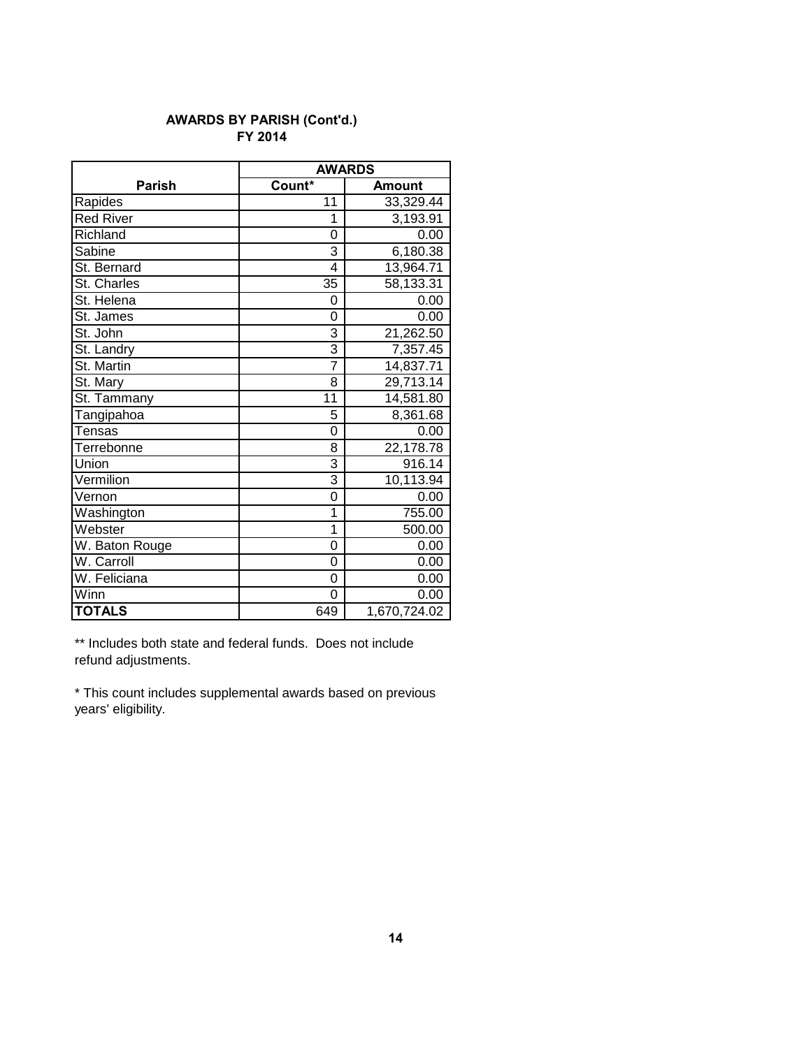#### **FY 2014 AWARDS BY PARISH (Cont'd.)**

|                  | <b>AWARDS</b>           |              |  |
|------------------|-------------------------|--------------|--|
| <b>Parish</b>    | Count*<br><b>Amount</b> |              |  |
| Rapides          | 11                      | 33,329.44    |  |
| <b>Red River</b> | 1                       | 3,193.91     |  |
| Richland         | 0                       | 0.00         |  |
| Sabine           | 3                       | 6,180.38     |  |
| St. Bernard      | 4                       | 13,964.71    |  |
| St. Charles      | $\overline{3}5$         | 58,133.31    |  |
| St. Helena       | 0                       | 0.00         |  |
| St. James        | 0                       | 0.00         |  |
| St. John         | 3                       | 21,262.50    |  |
| St. Landry       | 3                       | 7,357.45     |  |
| St. Martin       | $\overline{7}$          | 14,837.71    |  |
| St. Mary         | 8                       | 29,713.14    |  |
| St. Tammany      | 11                      | 14,581.80    |  |
| Tangipahoa       | 5                       | 8,361.68     |  |
| Tensas           | 0                       | 0.00         |  |
| Terrebonne       | 8                       | 22,178.78    |  |
| Union            | 3                       | 916.14       |  |
| Vermilion        | 3                       | 10,113.94    |  |
| Vernon           | 0                       | 0.00         |  |
| Washington       | 1                       | 755.00       |  |
| Webster          | 1                       | 500.00       |  |
| W. Baton Rouge   | 0                       | 0.00         |  |
| W. Carroll       | 0                       | 0.00         |  |
| W. Feliciana     | 0                       | 0.00         |  |
| Winn             | 0                       | 0.00         |  |
| <b>TOTALS</b>    | 649                     | 1,670,724.02 |  |

\*\* Includes both state and federal funds. Does not include refund adjustments.

\* This count includes supplemental awards based on previous years' eligibility.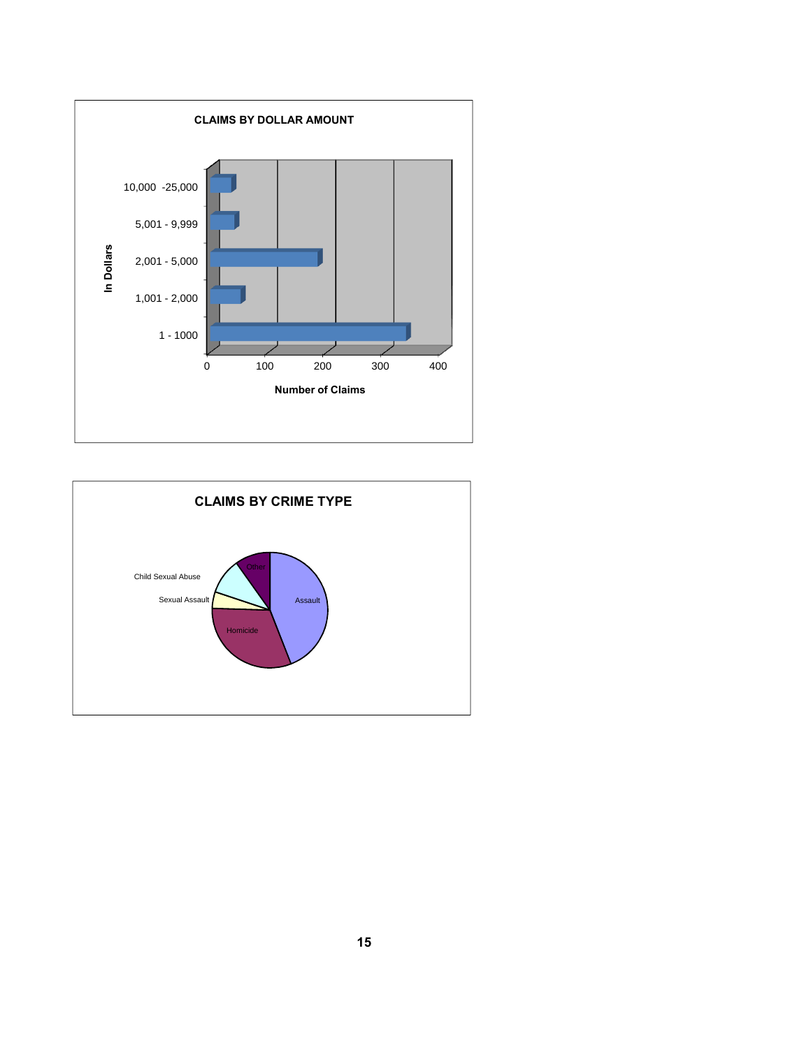

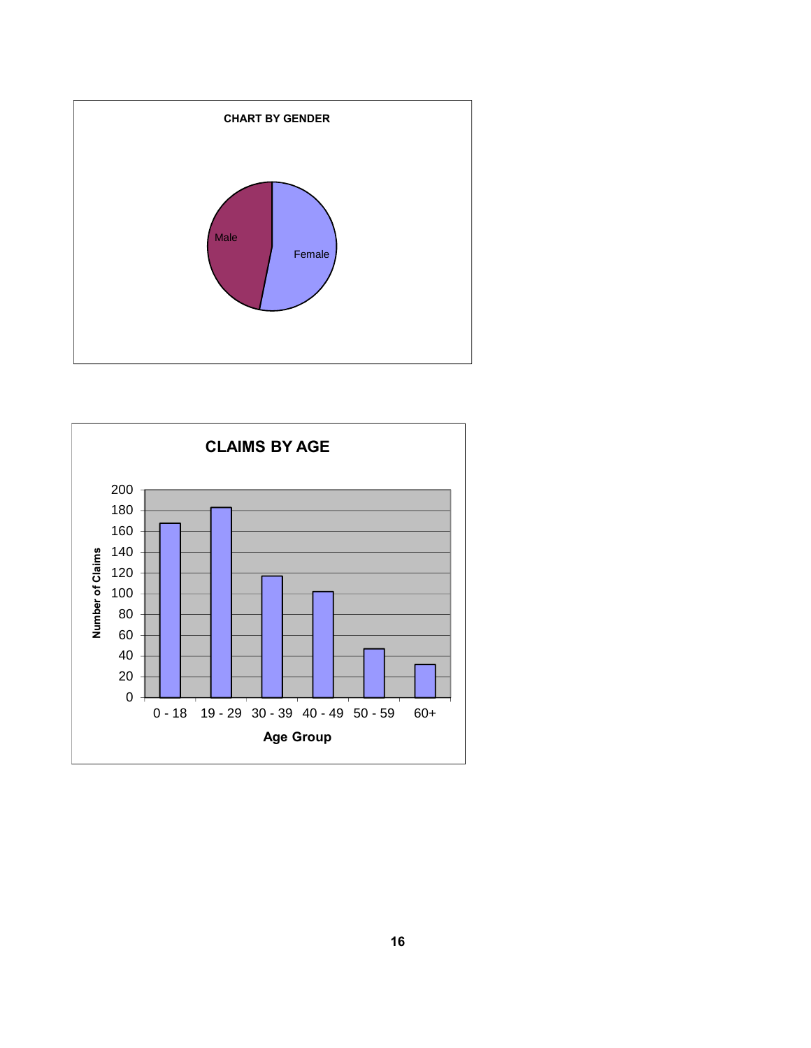